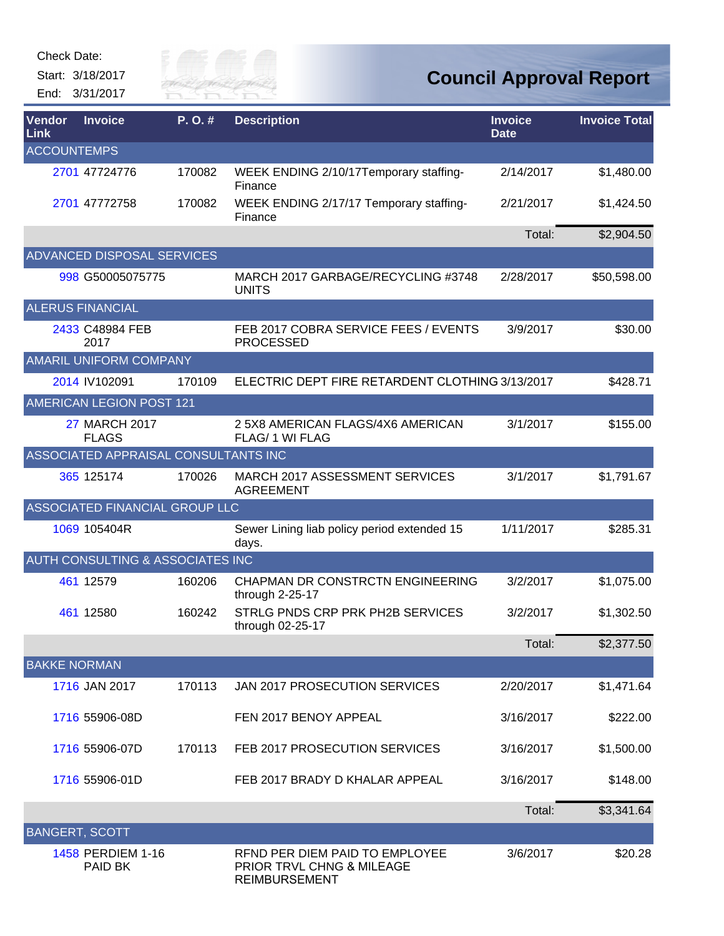Check Date:

Start: 3/18/2017 End: 3/31/2017



| Vendor<br>Link        | <b>Invoice</b>                       | $P. O.$ # | <b>Description</b>                                                                  | <b>Invoice</b><br><b>Date</b> | <b>Invoice Total</b> |
|-----------------------|--------------------------------------|-----------|-------------------------------------------------------------------------------------|-------------------------------|----------------------|
| <b>ACCOUNTEMPS</b>    |                                      |           |                                                                                     |                               |                      |
|                       | 2701 47724776                        | 170082    | WEEK ENDING 2/10/17Temporary staffing-<br>Finance                                   | 2/14/2017                     | \$1,480.00           |
|                       | 2701 47772758                        | 170082    | WEEK ENDING 2/17/17 Temporary staffing-<br>Finance                                  | 2/21/2017                     | \$1,424.50           |
|                       |                                      |           |                                                                                     | Total:                        | \$2,904.50           |
|                       | <b>ADVANCED DISPOSAL SERVICES</b>    |           |                                                                                     |                               |                      |
|                       | 998 G50005075775                     |           | MARCH 2017 GARBAGE/RECYCLING #3748<br><b>UNITS</b>                                  | 2/28/2017                     | \$50,598.00          |
|                       | <b>ALERUS FINANCIAL</b>              |           |                                                                                     |                               |                      |
|                       | 2433 C48984 FEB<br>2017              |           | FEB 2017 COBRA SERVICE FEES / EVENTS<br><b>PROCESSED</b>                            | 3/9/2017                      | \$30.00              |
|                       | AMARIL UNIFORM COMPANY               |           |                                                                                     |                               |                      |
|                       | 2014 IV102091                        | 170109    | ELECTRIC DEPT FIRE RETARDENT CLOTHING 3/13/2017                                     |                               | \$428.71             |
|                       | <b>AMERICAN LEGION POST 121</b>      |           |                                                                                     |                               |                      |
|                       | <b>27 MARCH 2017</b><br><b>FLAGS</b> |           | 25X8 AMERICAN FLAGS/4X6 AMERICAN<br>FLAG/ 1 WI FLAG                                 | 3/1/2017                      | \$155.00             |
|                       | ASSOCIATED APPRAISAL CONSULTANTS INC |           |                                                                                     |                               |                      |
|                       | 365 125174                           | 170026    | <b>MARCH 2017 ASSESSMENT SERVICES</b><br><b>AGREEMENT</b>                           | 3/1/2017                      | \$1,791.67           |
|                       | ASSOCIATED FINANCIAL GROUP LLC       |           |                                                                                     |                               |                      |
|                       | 1069 105404R                         |           | Sewer Lining liab policy period extended 15<br>days.                                | 1/11/2017                     | \$285.31             |
|                       | AUTH CONSULTING & ASSOCIATES INC     |           |                                                                                     |                               |                      |
|                       | 461 12579                            | 160206    | CHAPMAN DR CONSTRCTN ENGINEERING<br>through 2-25-17                                 | 3/2/2017                      | \$1,075.00           |
|                       | 461 12580                            | 160242    | STRLG PNDS CRP PRK PH2B SERVICES<br>through 02-25-17                                | 3/2/2017                      | \$1,302.50           |
|                       |                                      |           |                                                                                     | Total:                        | \$2,377.50           |
| <b>BAKKE NORMAN</b>   |                                      |           |                                                                                     |                               |                      |
|                       | 1716 JAN 2017                        | 170113    | <b>JAN 2017 PROSECUTION SERVICES</b>                                                | 2/20/2017                     | \$1,471.64           |
|                       | 1716 55906-08D                       |           | FEN 2017 BENOY APPEAL                                                               | 3/16/2017                     | \$222.00             |
|                       | 1716 55906-07D                       | 170113    | FEB 2017 PROSECUTION SERVICES                                                       | 3/16/2017                     | \$1,500.00           |
|                       | 1716 55906-01D                       |           | FEB 2017 BRADY D KHALAR APPEAL                                                      | 3/16/2017                     | \$148.00             |
|                       |                                      |           |                                                                                     | Total:                        | \$3,341.64           |
| <b>BANGERT, SCOTT</b> |                                      |           |                                                                                     |                               |                      |
|                       | 1458 PERDIEM 1-16<br>PAID BK         |           | RFND PER DIEM PAID TO EMPLOYEE<br>PRIOR TRVL CHNG & MILEAGE<br><b>REIMBURSEMENT</b> | 3/6/2017                      | \$20.28              |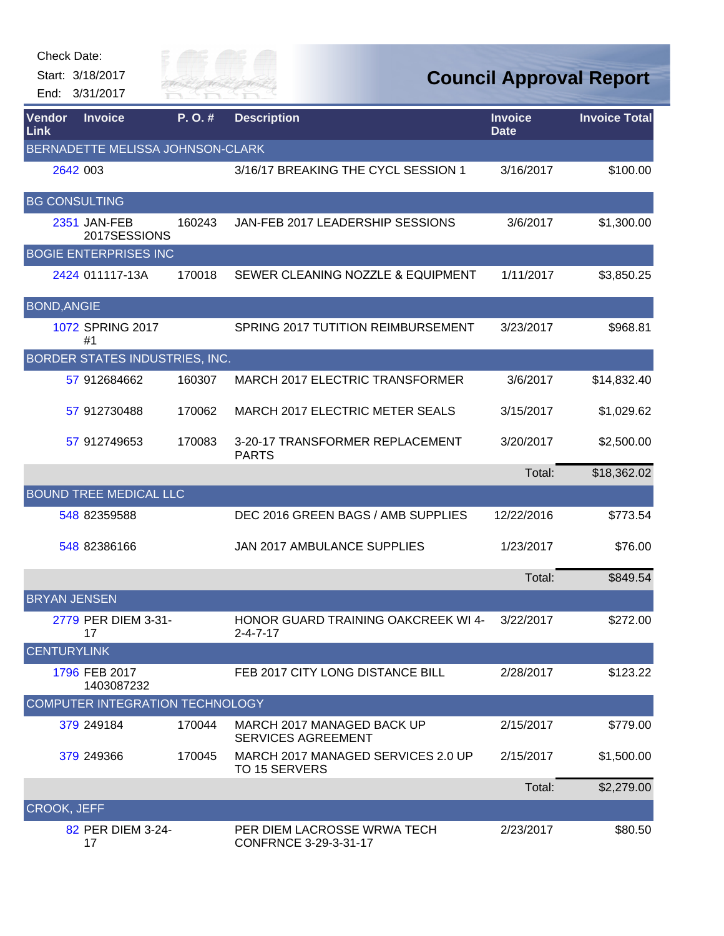| Check Date:         | Start: 3/18/2017<br>End: 3/31/2017     | City of<br>River Fai |                                                                |                               | <b>Council Approval Report</b> |
|---------------------|----------------------------------------|----------------------|----------------------------------------------------------------|-------------------------------|--------------------------------|
| Vendor<br>Link      | <b>Invoice</b>                         | P.O.#                | <b>Description</b>                                             | <b>Invoice</b><br><b>Date</b> | <b>Invoice Total</b>           |
|                     | BERNADETTE MELISSA JOHNSON-CLARK       |                      |                                                                |                               |                                |
|                     | 2642 003                               |                      | 3/16/17 BREAKING THE CYCL SESSION 1                            | 3/16/2017                     | \$100.00                       |
|                     | <b>BG CONSULTING</b>                   |                      |                                                                |                               |                                |
|                     | 2351 JAN-FEB<br>2017SESSIONS           | 160243               | JAN-FEB 2017 LEADERSHIP SESSIONS                               | 3/6/2017                      | \$1,300.00                     |
|                     | <b>BOGIE ENTERPRISES INC</b>           |                      |                                                                |                               |                                |
|                     | 2424 011117-13A                        | 170018               | SEWER CLEANING NOZZLE & EQUIPMENT                              | 1/11/2017                     | \$3,850.25                     |
| <b>BOND, ANGIE</b>  |                                        |                      |                                                                |                               |                                |
|                     | 1072 SPRING 2017<br>#1                 |                      | SPRING 2017 TUTITION REIMBURSEMENT                             | 3/23/2017                     | \$968.81                       |
|                     | BORDER STATES INDUSTRIES, INC.         |                      |                                                                |                               |                                |
|                     | 57 912684662                           | 160307               | MARCH 2017 ELECTRIC TRANSFORMER                                | 3/6/2017                      | \$14,832.40                    |
|                     | 57 912730488                           | 170062               | MARCH 2017 ELECTRIC METER SEALS                                | 3/15/2017                     | \$1,029.62                     |
|                     | 57 912749653                           | 170083               | 3-20-17 TRANSFORMER REPLACEMENT<br><b>PARTS</b>                | 3/20/2017                     | \$2,500.00                     |
|                     |                                        |                      |                                                                | Total:                        | \$18,362.02                    |
|                     | <b>BOUND TREE MEDICAL LLC</b>          |                      |                                                                |                               |                                |
|                     | 548 82359588                           |                      | DEC 2016 GREEN BAGS / AMB SUPPLIES                             | 12/22/2016                    | \$773.54                       |
|                     | 548 82386166                           |                      | <b>JAN 2017 AMBULANCE SUPPLIES</b>                             | 1/23/2017                     | \$76.00                        |
|                     |                                        |                      |                                                                | Total:                        | \$849.54                       |
| <b>BRYAN JENSEN</b> |                                        |                      |                                                                |                               |                                |
|                     | 2779 PER DIEM 3-31-<br>17              |                      | <b>HONOR GUARD TRAINING OAKCREEK WI 4-</b><br>$2 - 4 - 7 - 17$ | 3/22/2017                     | \$272.00                       |
| <b>CENTURYLINK</b>  |                                        |                      |                                                                |                               |                                |
|                     | 1796 FEB 2017<br>1403087232            |                      | FEB 2017 CITY LONG DISTANCE BILL                               | 2/28/2017                     | \$123.22                       |
|                     | <b>COMPUTER INTEGRATION TECHNOLOGY</b> |                      |                                                                |                               |                                |
|                     | 379 249184                             | 170044               | MARCH 2017 MANAGED BACK UP<br><b>SERVICES AGREEMENT</b>        | 2/15/2017                     | \$779.00                       |
|                     | 379 249366                             | 170045               | MARCH 2017 MANAGED SERVICES 2.0 UP<br>TO 15 SERVERS            | 2/15/2017                     | \$1,500.00                     |
|                     |                                        |                      |                                                                | Total:                        | \$2,279.00                     |
| <b>CROOK, JEFF</b>  |                                        |                      |                                                                |                               |                                |
|                     | 82 PER DIEM 3-24-<br>17                |                      | PER DIEM LACROSSE WRWA TECH<br>CONFRNCE 3-29-3-31-17           | 2/23/2017                     | \$80.50                        |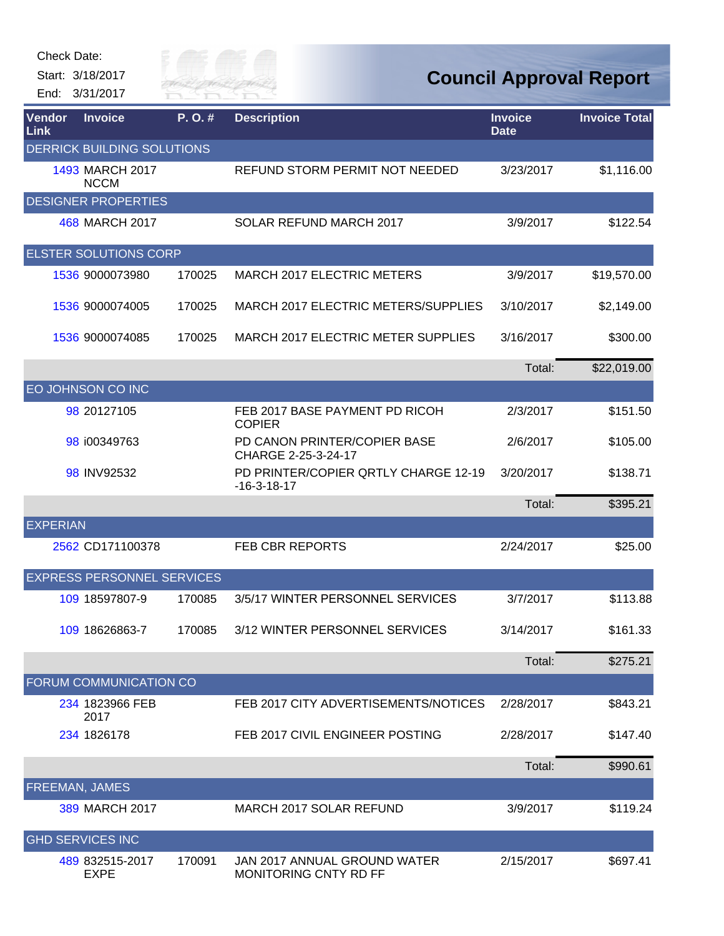

| <b>Vendor</b><br>Link | <b>Invoice</b>                    | $P. O.$ # | <b>Description</b>                                    | <b>Invoice</b><br><b>Date</b> | <b>Invoice Total</b> |
|-----------------------|-----------------------------------|-----------|-------------------------------------------------------|-------------------------------|----------------------|
|                       | <b>DERRICK BUILDING SOLUTIONS</b> |           |                                                       |                               |                      |
|                       | 1493 MARCH 2017<br><b>NCCM</b>    |           | REFUND STORM PERMIT NOT NEEDED                        | 3/23/2017                     | \$1,116.00           |
|                       | <b>DESIGNER PROPERTIES</b>        |           |                                                       |                               |                      |
|                       | 468 MARCH 2017                    |           | SOLAR REFUND MARCH 2017                               | 3/9/2017                      | \$122.54             |
|                       | <b>ELSTER SOLUTIONS CORP</b>      |           |                                                       |                               |                      |
|                       | 1536 9000073980                   | 170025    | <b>MARCH 2017 ELECTRIC METERS</b>                     | 3/9/2017                      | \$19,570.00          |
|                       | 1536 9000074005                   | 170025    | MARCH 2017 ELECTRIC METERS/SUPPLIES                   | 3/10/2017                     | \$2,149.00           |
|                       | 1536 9000074085                   | 170025    | MARCH 2017 ELECTRIC METER SUPPLIES                    | 3/16/2017                     | \$300.00             |
|                       |                                   |           |                                                       | Total:                        | \$22,019.00          |
|                       | EO JOHNSON CO INC                 |           |                                                       |                               |                      |
|                       | 98 20127105                       |           | FEB 2017 BASE PAYMENT PD RICOH<br><b>COPIER</b>       | 2/3/2017                      | \$151.50             |
|                       | 98 i00349763                      |           | PD CANON PRINTER/COPIER BASE<br>CHARGE 2-25-3-24-17   | 2/6/2017                      | \$105.00             |
|                       | 98 INV92532                       |           | PD PRINTER/COPIER QRTLY CHARGE 12-19<br>$-16-3-18-17$ | 3/20/2017                     | \$138.71             |
|                       |                                   |           |                                                       | Total:                        | \$395.21             |
| <b>EXPERIAN</b>       |                                   |           |                                                       |                               |                      |
|                       | 2562 CD171100378                  |           | <b>FEB CBR REPORTS</b>                                | 2/24/2017                     | \$25.00              |
|                       | <b>EXPRESS PERSONNEL SERVICES</b> |           |                                                       |                               |                      |
|                       | 109 18597807-9                    | 170085    | 3/5/17 WINTER PERSONNEL SERVICES                      | 3/7/2017                      | \$113.88             |
|                       | 109 18626863-7                    | 170085    | 3/12 WINTER PERSONNEL SERVICES                        | 3/14/2017                     | \$161.33             |
|                       |                                   |           |                                                       | Total:                        | \$275.21             |
|                       | <b>FORUM COMMUNICATION CO</b>     |           |                                                       |                               |                      |
|                       | 234 1823966 FEB<br>2017           |           | FEB 2017 CITY ADVERTISEMENTS/NOTICES                  | 2/28/2017                     | \$843.21             |
|                       | 234 1826178                       |           | FEB 2017 CIVIL ENGINEER POSTING                       | 2/28/2017                     | \$147.40             |
|                       |                                   |           |                                                       | Total:                        | \$990.61             |
| FREEMAN, JAMES        |                                   |           |                                                       |                               |                      |
|                       | 389 MARCH 2017                    |           | MARCH 2017 SOLAR REFUND                               | 3/9/2017                      | \$119.24             |
|                       | <b>GHD SERVICES INC</b>           |           |                                                       |                               |                      |
|                       | 489 832515-2017<br><b>EXPE</b>    | 170091    | JAN 2017 ANNUAL GROUND WATER<br>MONITORING CNTY RD FF | 2/15/2017                     | \$697.41             |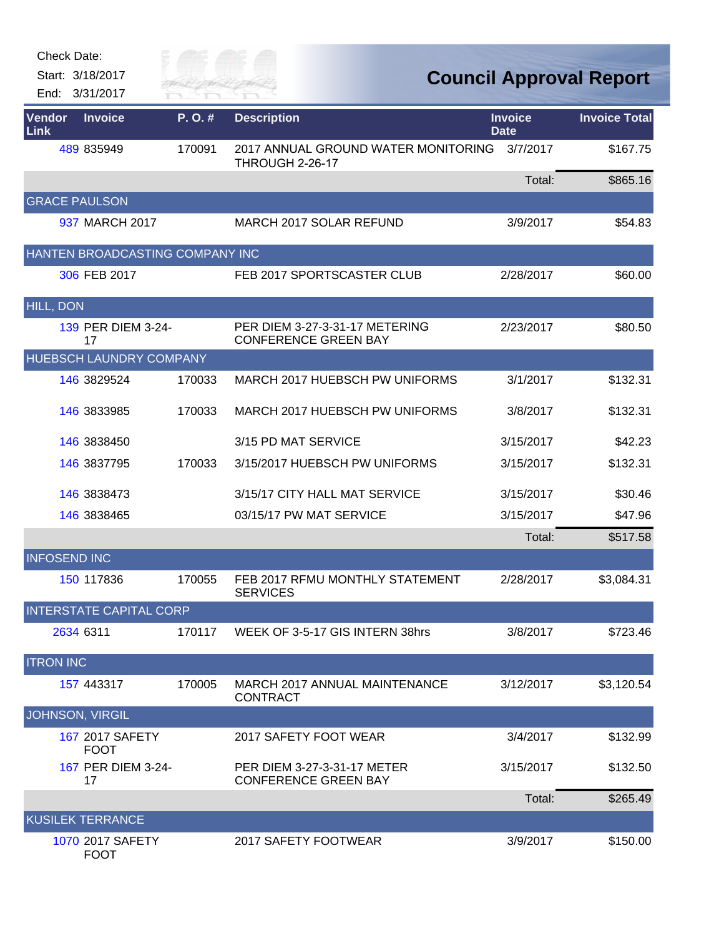| <b>Check Date:</b>                 |                      |                                                               |                               |                                |
|------------------------------------|----------------------|---------------------------------------------------------------|-------------------------------|--------------------------------|
| Start: 3/18/2017<br>End: 3/31/2017 | City of<br>River Fai |                                                               |                               | <b>Council Approval Report</b> |
| Vendor<br><b>Invoice</b><br>Link   | P.O.#                | <b>Description</b>                                            | <b>Invoice</b><br><b>Date</b> | <b>Invoice Total</b>           |
| 489 835949                         | 170091               | 2017 ANNUAL GROUND WATER MONITORING<br>THROUGH 2-26-17        | 3/7/2017                      | \$167.75                       |
|                                    |                      |                                                               | Total:                        | \$865.16                       |
| <b>GRACE PAULSON</b>               |                      |                                                               |                               |                                |
| 937 MARCH 2017                     |                      | MARCH 2017 SOLAR REFUND                                       | 3/9/2017                      | \$54.83                        |
| HANTEN BROADCASTING COMPANY INC    |                      |                                                               |                               |                                |
| 306 FEB 2017                       |                      | FEB 2017 SPORTSCASTER CLUB                                    | 2/28/2017                     | \$60.00                        |
| <b>HILL, DON</b>                   |                      |                                                               |                               |                                |
| 139 PER DIEM 3-24-<br>17           |                      | PER DIEM 3-27-3-31-17 METERING<br><b>CONFERENCE GREEN BAY</b> | 2/23/2017                     | \$80.50                        |
| HUEBSCH LAUNDRY COMPANY            |                      |                                                               |                               |                                |
| 146 3829524                        | 170033               | MARCH 2017 HUEBSCH PW UNIFORMS                                | 3/1/2017                      | \$132.31                       |
| 146 3833985                        | 170033               | MARCH 2017 HUEBSCH PW UNIFORMS                                | 3/8/2017                      | \$132.31                       |
| 146 3838450                        |                      | 3/15 PD MAT SERVICE                                           | 3/15/2017                     | \$42.23                        |
| 146 3837795                        | 170033               | 3/15/2017 HUEBSCH PW UNIFORMS                                 | 3/15/2017                     | \$132.31                       |
| 146 3838473                        |                      | 3/15/17 CITY HALL MAT SERVICE                                 | 3/15/2017                     | \$30.46                        |
| 146 3838465                        |                      | 03/15/17 PW MAT SERVICE                                       | 3/15/2017                     | \$47.96                        |
|                                    |                      |                                                               | Total:                        | \$517.58                       |
| <b>INFOSEND INC</b>                |                      |                                                               |                               |                                |
| 150 117836                         | 170055               | FEB 2017 RFMU MONTHLY STATEMENT<br><b>SERVICES</b>            | 2/28/2017                     | \$3,084.31                     |
| <b>INTERSTATE CAPITAL CORP</b>     |                      |                                                               |                               |                                |
| 2634 6311                          | 170117               | WEEK OF 3-5-17 GIS INTERN 38hrs                               | 3/8/2017                      | \$723.46                       |
| <b>ITRON INC</b>                   |                      |                                                               |                               |                                |
| 157 443317                         | 170005               | <b>MARCH 2017 ANNUAL MAINTENANCE</b><br><b>CONTRACT</b>       | 3/12/2017                     | \$3,120.54                     |
| <b>JOHNSON, VIRGIL</b>             |                      |                                                               |                               |                                |
| 167 2017 SAFETY<br><b>FOOT</b>     |                      | 2017 SAFETY FOOT WEAR                                         | 3/4/2017                      | \$132.99                       |
| 167 PER DIEM 3-24-<br>17           |                      | PER DIEM 3-27-3-31-17 METER<br><b>CONFERENCE GREEN BAY</b>    | 3/15/2017                     | \$132.50                       |
|                                    |                      |                                                               | Total:                        | \$265.49                       |
| <b>KUSILEK TERRANCE</b>            |                      |                                                               |                               |                                |
| 1070 2017 SAFETY<br><b>FOOT</b>    |                      | 2017 SAFETY FOOTWEAR                                          | 3/9/2017                      | \$150.00                       |

**ANTIFICIAL**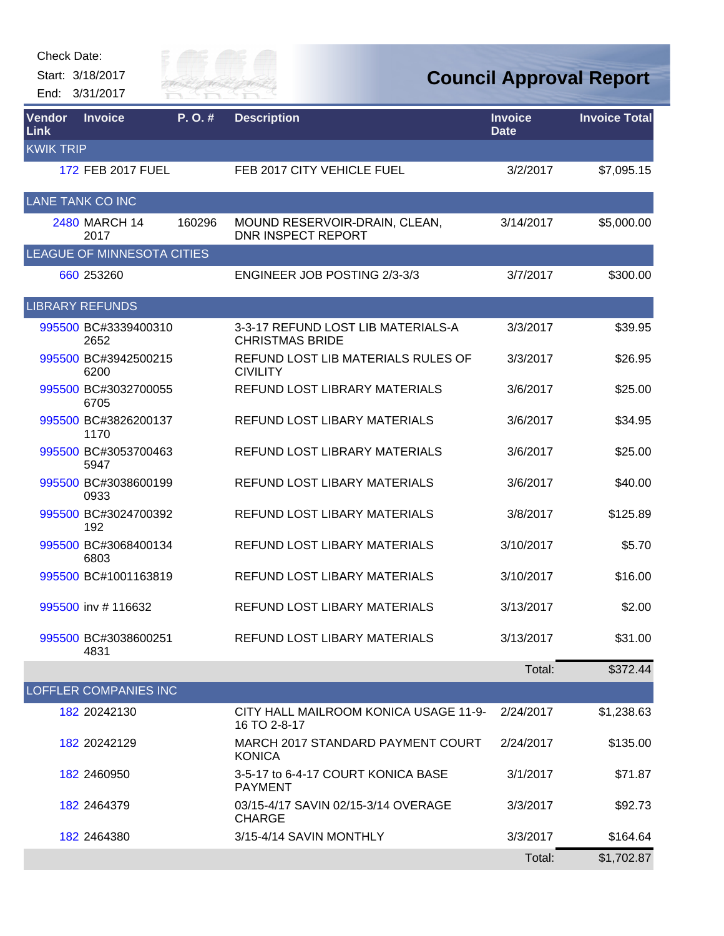#### Check Date:

Start: 3/18/2017 End: 3/31/2017



| Vendor<br>Link   | <b>Invoice</b>               | $P. O.$ # | <b>Description</b>                                           | <b>Invoice</b><br><b>Date</b> | <b>Invoice Total</b> |
|------------------|------------------------------|-----------|--------------------------------------------------------------|-------------------------------|----------------------|
| <b>KWIK TRIP</b> |                              |           |                                                              |                               |                      |
|                  | 172 FEB 2017 FUEL            |           | FEB 2017 CITY VEHICLE FUEL                                   | 3/2/2017                      | \$7,095.15           |
|                  | <b>LANE TANK CO INC</b>      |           |                                                              |                               |                      |
|                  | 2480 MARCH 14<br>2017        | 160296    | MOUND RESERVOIR-DRAIN, CLEAN,<br><b>DNR INSPECT REPORT</b>   | 3/14/2017                     | \$5,000.00           |
|                  | LEAGUE OF MINNESOTA CITIES   |           |                                                              |                               |                      |
|                  | 660 253260                   |           | ENGINEER JOB POSTING 2/3-3/3                                 | 3/7/2017                      | \$300.00             |
|                  | <b>LIBRARY REFUNDS</b>       |           |                                                              |                               |                      |
|                  | 995500 BC#3339400310<br>2652 |           | 3-3-17 REFUND LOST LIB MATERIALS-A<br><b>CHRISTMAS BRIDE</b> | 3/3/2017                      | \$39.95              |
|                  | 995500 BC#3942500215<br>6200 |           | REFUND LOST LIB MATERIALS RULES OF<br><b>CIVILITY</b>        | 3/3/2017                      | \$26.95              |
|                  | 995500 BC#3032700055<br>6705 |           | REFUND LOST LIBRARY MATERIALS                                | 3/6/2017                      | \$25.00              |
|                  | 995500 BC#3826200137<br>1170 |           | <b>REFUND LOST LIBARY MATERIALS</b>                          | 3/6/2017                      | \$34.95              |
|                  | 995500 BC#3053700463<br>5947 |           | REFUND LOST LIBRARY MATERIALS                                | 3/6/2017                      | \$25.00              |
|                  | 995500 BC#3038600199<br>0933 |           | REFUND LOST LIBARY MATERIALS                                 | 3/6/2017                      | \$40.00              |
|                  | 995500 BC#3024700392<br>192  |           | REFUND LOST LIBARY MATERIALS                                 | 3/8/2017                      | \$125.89             |
|                  | 995500 BC#3068400134<br>6803 |           | REFUND LOST LIBARY MATERIALS                                 | 3/10/2017                     | \$5.70               |
|                  | 995500 BC#1001163819         |           | REFUND LOST LIBARY MATERIALS                                 | 3/10/2017                     | \$16.00              |
|                  | 995500 inv #116632           |           | REFUND LOST LIBARY MATERIALS                                 | 3/13/2017                     | \$2.00               |
|                  | 995500 BC#3038600251<br>4831 |           | REFUND LOST LIBARY MATERIALS                                 | 3/13/2017                     | \$31.00              |
|                  |                              |           |                                                              | Total:                        | \$372.44             |
|                  | LOFFLER COMPANIES INC        |           |                                                              |                               |                      |
|                  | 182 20242130                 |           | CITY HALL MAILROOM KONICA USAGE 11-9-<br>16 TO 2-8-17        | 2/24/2017                     | \$1,238.63           |
|                  | 182 20242129                 |           | MARCH 2017 STANDARD PAYMENT COURT<br><b>KONICA</b>           | 2/24/2017                     | \$135.00             |
|                  | 182 2460950                  |           | 3-5-17 to 6-4-17 COURT KONICA BASE<br><b>PAYMENT</b>         | 3/1/2017                      | \$71.87              |
|                  | 182 2464379                  |           | 03/15-4/17 SAVIN 02/15-3/14 OVERAGE<br><b>CHARGE</b>         | 3/3/2017                      | \$92.73              |
|                  | 182 2464380                  |           | 3/15-4/14 SAVIN MONTHLY                                      | 3/3/2017                      | \$164.64             |
|                  |                              |           |                                                              | Total:                        | \$1,702.87           |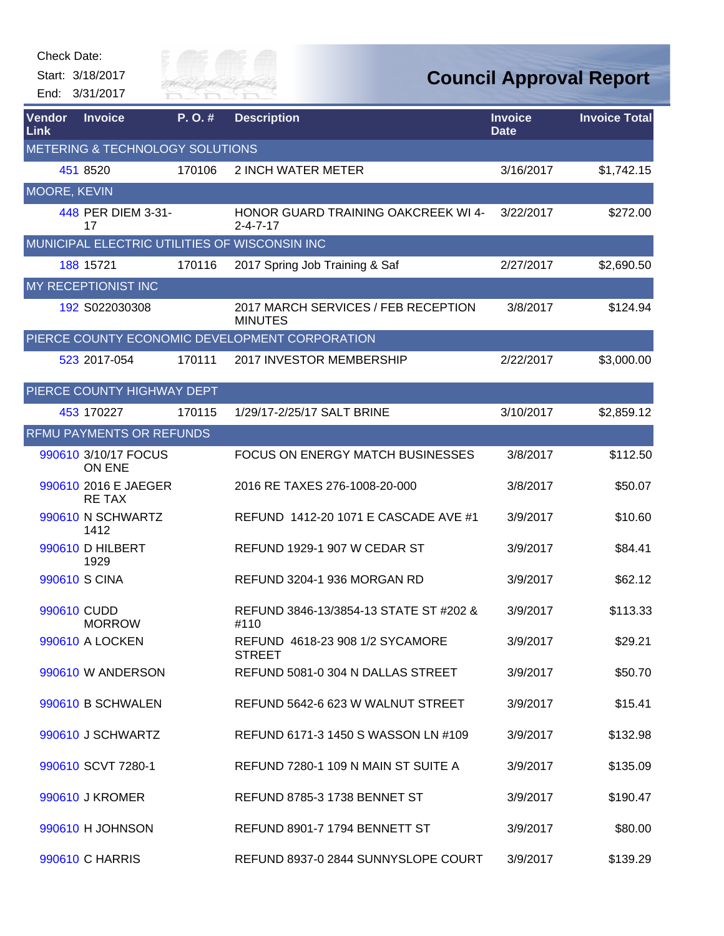

| Vendor<br>Link | <b>Invoice</b>                             | P. O. # | <b>Description</b>                                             | <b>Invoice</b><br><b>Date</b> | <b>Invoice Total</b> |  |  |
|----------------|--------------------------------------------|---------|----------------------------------------------------------------|-------------------------------|----------------------|--|--|
|                | <b>METERING &amp; TECHNOLOGY SOLUTIONS</b> |         |                                                                |                               |                      |  |  |
|                | 451 8520                                   | 170106  | <b>2 INCH WATER METER</b>                                      | 3/16/2017                     | \$1,742.15           |  |  |
| MOORE, KEVIN   |                                            |         |                                                                |                               |                      |  |  |
|                | 448 PER DIEM 3-31-<br>17                   |         | <b>HONOR GUARD TRAINING OAKCREEK WI 4-</b><br>$2 - 4 - 7 - 17$ | 3/22/2017                     | \$272.00             |  |  |
|                |                                            |         | MUNICIPAL ELECTRIC UTILITIES OF WISCONSIN INC                  |                               |                      |  |  |
|                | 188 15721                                  | 170116  | 2017 Spring Job Training & Saf                                 | 2/27/2017                     | \$2,690.50           |  |  |
|                | MY RECEPTIONIST INC                        |         |                                                                |                               |                      |  |  |
|                | 192 S022030308                             |         | 2017 MARCH SERVICES / FEB RECEPTION<br><b>MINUTES</b>          | 3/8/2017                      | \$124.94             |  |  |
|                |                                            |         | PIERCE COUNTY ECONOMIC DEVELOPMENT CORPORATION                 |                               |                      |  |  |
|                | 523 2017-054                               | 170111  | 2017 INVESTOR MEMBERSHIP                                       | 2/22/2017                     | \$3,000.00           |  |  |
|                | PIERCE COUNTY HIGHWAY DEPT                 |         |                                                                |                               |                      |  |  |
|                | 453 170227                                 | 170115  | 1/29/17-2/25/17 SALT BRINE                                     | 3/10/2017                     | \$2,859.12           |  |  |
|                | RFMU PAYMENTS OR REFUNDS                   |         |                                                                |                               |                      |  |  |
|                | 990610 3/10/17 FOCUS<br>ON ENE             |         | <b>FOCUS ON ENERGY MATCH BUSINESSES</b>                        | 3/8/2017                      | \$112.50             |  |  |
|                | 990610 2016 E JAEGER<br><b>RETAX</b>       |         | 2016 RE TAXES 276-1008-20-000                                  | 3/8/2017                      | \$50.07              |  |  |
|                | 990610 N SCHWARTZ<br>1412                  |         | REFUND 1412-20 1071 E CASCADE AVE #1                           | 3/9/2017                      | \$10.60              |  |  |
|                | 990610 D HILBERT<br>1929                   |         | REFUND 1929-1 907 W CEDAR ST                                   | 3/9/2017                      | \$84.41              |  |  |
|                | 990610 S CINA                              |         | REFUND 3204-1 936 MORGAN RD                                    | 3/9/2017                      | \$62.12              |  |  |
|                | 990610 CUDD<br><b>MORROW</b>               |         | REFUND 3846-13/3854-13 STATE ST #202 &<br>#110                 | 3/9/2017                      | \$113.33             |  |  |
|                | 990610 A LOCKEN                            |         | REFUND 4618-23 908 1/2 SYCAMORE<br><b>STREET</b>               | 3/9/2017                      | \$29.21              |  |  |
|                | 990610 W ANDERSON                          |         | REFUND 5081-0 304 N DALLAS STREET                              | 3/9/2017                      | \$50.70              |  |  |
|                | 990610 B SCHWALEN                          |         | REFUND 5642-6 623 W WALNUT STREET                              | 3/9/2017                      | \$15.41              |  |  |
|                | 990610 J SCHWARTZ                          |         | REFUND 6171-3 1450 S WASSON LN #109                            | 3/9/2017                      | \$132.98             |  |  |
|                | 990610 SCVT 7280-1                         |         | REFUND 7280-1 109 N MAIN ST SUITE A                            | 3/9/2017                      | \$135.09             |  |  |
|                | 990610 J KROMER                            |         | <b>REFUND 8785-3 1738 BENNET ST</b>                            | 3/9/2017                      | \$190.47             |  |  |
|                | 990610 H JOHNSON                           |         | REFUND 8901-7 1794 BENNETT ST                                  | 3/9/2017                      | \$80.00              |  |  |
|                | 990610 C HARRIS                            |         | REFUND 8937-0 2844 SUNNYSLOPE COURT                            | 3/9/2017                      | \$139.29             |  |  |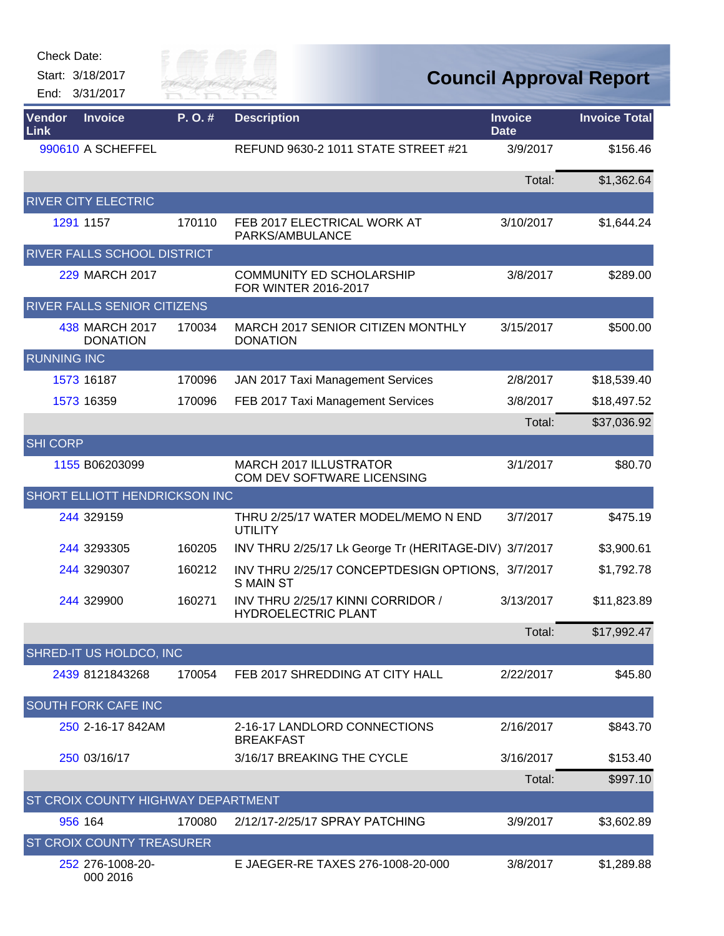| Check Date: |  |
|-------------|--|
|-------------|--|



| Vendor<br>Link     | <b>Invoice</b>                            | P.O.#  | <b>Description</b>                                                   | <b>Invoice</b><br><b>Date</b> | <b>Invoice Total</b> |
|--------------------|-------------------------------------------|--------|----------------------------------------------------------------------|-------------------------------|----------------------|
|                    | 990610 A SCHEFFEL                         |        | REFUND 9630-2 1011 STATE STREET #21                                  | 3/9/2017                      | \$156.46             |
|                    |                                           |        |                                                                      | Total:                        | \$1,362.64           |
|                    | <b>RIVER CITY ELECTRIC</b>                |        |                                                                      |                               |                      |
|                    | 1291 1157                                 | 170110 | FEB 2017 ELECTRICAL WORK AT<br>PARKS/AMBULANCE                       | 3/10/2017                     | \$1,644.24           |
|                    | RIVER FALLS SCHOOL DISTRICT               |        |                                                                      |                               |                      |
|                    | 229 MARCH 2017                            |        | <b>COMMUNITY ED SCHOLARSHIP</b><br>FOR WINTER 2016-2017              | 3/8/2017                      | \$289.00             |
|                    | <b>RIVER FALLS SENIOR CITIZENS</b>        |        |                                                                      |                               |                      |
|                    | 438 MARCH 2017<br><b>DONATION</b>         | 170034 | MARCH 2017 SENIOR CITIZEN MONTHLY<br><b>DONATION</b>                 | 3/15/2017                     | \$500.00             |
| <b>RUNNING INC</b> |                                           |        |                                                                      |                               |                      |
|                    | 1573 16187                                | 170096 | JAN 2017 Taxi Management Services                                    | 2/8/2017                      | \$18,539.40          |
|                    | 1573 16359                                | 170096 | FEB 2017 Taxi Management Services                                    | 3/8/2017                      | \$18,497.52          |
|                    |                                           |        |                                                                      | Total:                        | \$37,036.92          |
| <b>SHI CORP</b>    |                                           |        |                                                                      |                               |                      |
|                    | 1155 B06203099                            |        | MARCH 2017 ILLUSTRATOR<br>COM DEV SOFTWARE LICENSING                 | 3/1/2017                      | \$80.70              |
|                    | SHORT ELLIOTT HENDRICKSON INC             |        |                                                                      |                               |                      |
|                    | 244 329159                                |        | THRU 2/25/17 WATER MODEL/MEMO N END<br><b>UTILITY</b>                | 3/7/2017                      | \$475.19             |
|                    | 244 3293305                               | 160205 | INV THRU 2/25/17 Lk George Tr (HERITAGE-DIV) 3/7/2017                |                               | \$3,900.61           |
|                    | 244 3290307                               | 160212 | INV THRU 2/25/17 CONCEPTDESIGN OPTIONS, 3/7/2017<br><b>S MAIN ST</b> |                               | \$1,792.78           |
|                    | 244 329900                                | 160271 | INV THRU 2/25/17 KINNI CORRIDOR /<br><b>HYDROELECTRIC PLANT</b>      | 3/13/2017                     | \$11,823.89          |
|                    |                                           |        |                                                                      | Total:                        | \$17,992.47          |
|                    | SHRED-IT US HOLDCO, INC                   |        |                                                                      |                               |                      |
|                    | 2439 8121843268                           | 170054 | FEB 2017 SHREDDING AT CITY HALL                                      | 2/22/2017                     | \$45.80              |
|                    | <b>SOUTH FORK CAFE INC</b>                |        |                                                                      |                               |                      |
|                    | 250 2-16-17 842AM                         |        | 2-16-17 LANDLORD CONNECTIONS<br><b>BREAKFAST</b>                     | 2/16/2017                     | \$843.70             |
|                    | 250 03/16/17                              |        | 3/16/17 BREAKING THE CYCLE                                           | 3/16/2017                     | \$153.40             |
|                    |                                           |        |                                                                      | Total:                        | \$997.10             |
|                    | <b>ST CROIX COUNTY HIGHWAY DEPARTMENT</b> |        |                                                                      |                               |                      |
|                    | 956 164                                   | 170080 | 2/12/17-2/25/17 SPRAY PATCHING                                       | 3/9/2017                      | \$3,602.89           |
|                    | <b>ST CROIX COUNTY TREASURER</b>          |        |                                                                      |                               |                      |
|                    | 252 276-1008-20-<br>000 2016              |        | E JAEGER-RE TAXES 276-1008-20-000                                    | 3/8/2017                      | \$1,289.88           |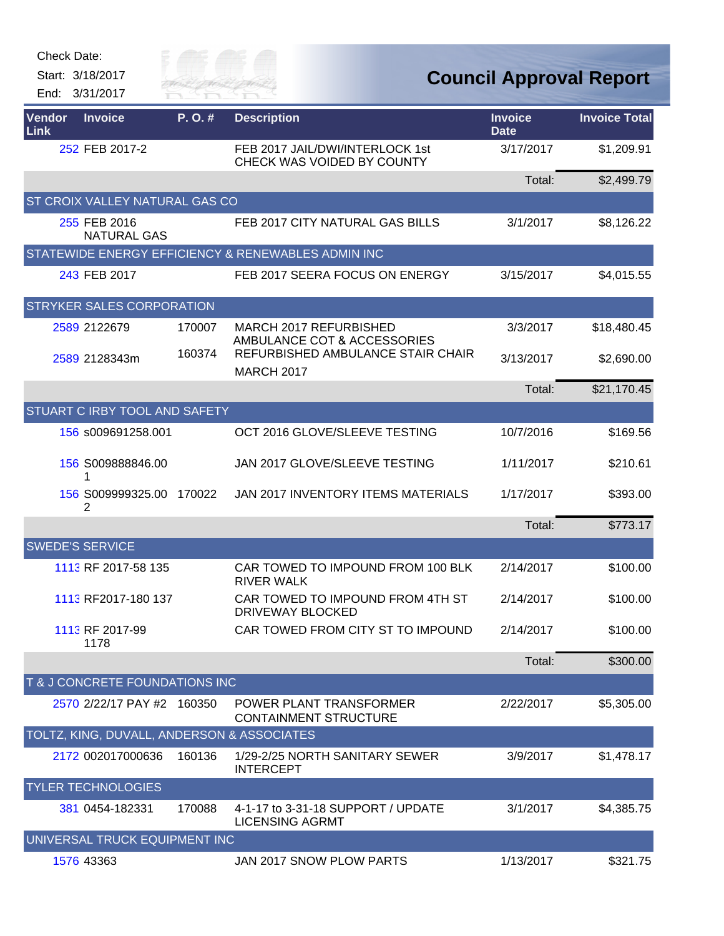

| Vendor<br>Link | <b>Invoice</b>                             | P. O. # | <b>Description</b>                                            | <b>Invoice</b><br><b>Date</b> | <b>Invoice Total</b> |
|----------------|--------------------------------------------|---------|---------------------------------------------------------------|-------------------------------|----------------------|
|                | 252 FEB 2017-2                             |         | FEB 2017 JAIL/DWI/INTERLOCK 1st<br>CHECK WAS VOIDED BY COUNTY | 3/17/2017                     | \$1,209.91           |
|                |                                            |         |                                                               | Total:                        | \$2,499.79           |
|                | ST CROIX VALLEY NATURAL GAS CO             |         |                                                               |                               |                      |
|                | 255 FEB 2016<br><b>NATURAL GAS</b>         |         | FEB 2017 CITY NATURAL GAS BILLS                               | 3/1/2017                      | \$8,126.22           |
|                |                                            |         | STATEWIDE ENERGY EFFICIENCY & RENEWABLES ADMIN INC            |                               |                      |
|                | 243 FEB 2017                               |         | FEB 2017 SEERA FOCUS ON ENERGY                                | 3/15/2017                     | \$4,015.55           |
|                | STRYKER SALES CORPORATION                  |         |                                                               |                               |                      |
|                | 2589 2122679                               | 170007  | MARCH 2017 REFURBISHED<br>AMBULANCE COT & ACCESSORIES         | 3/3/2017                      | \$18,480.45          |
|                | 2589 2128343m                              | 160374  | REFURBISHED AMBULANCE STAIR CHAIR<br><b>MARCH 2017</b>        | 3/13/2017                     | \$2,690.00           |
|                |                                            |         |                                                               | Total:                        | \$21,170.45          |
|                | STUART C IRBY TOOL AND SAFETY              |         |                                                               |                               |                      |
|                | 156 s009691258.001                         |         | OCT 2016 GLOVE/SLEEVE TESTING                                 | 10/7/2016                     | \$169.56             |
|                | 156 S009888846.00<br>1                     |         | JAN 2017 GLOVE/SLEEVE TESTING                                 | 1/11/2017                     | \$210.61             |
|                | 156 S009999325.00<br>2                     | 170022  | JAN 2017 INVENTORY ITEMS MATERIALS                            | 1/17/2017                     | \$393.00             |
|                |                                            |         |                                                               | Total:                        | \$773.17             |
|                | <b>SWEDE'S SERVICE</b>                     |         |                                                               |                               |                      |
|                | 1113 RF 2017-58 135                        |         | CAR TOWED TO IMPOUND FROM 100 BLK<br><b>RIVER WALK</b>        | 2/14/2017                     | \$100.00             |
|                | 1113 RF2017-180 137                        |         | CAR TOWED TO IMPOUND FROM 4TH ST<br>DRIVEWAY BLOCKED          | 2/14/2017                     | \$100.00             |
|                | 1113 RF 2017-99<br>1178                    |         | CAR TOWED FROM CITY ST TO IMPOUND                             | 2/14/2017                     | \$100.00             |
|                |                                            |         |                                                               | Total:                        | \$300.00             |
|                | T & J CONCRETE FOUNDATIONS INC             |         |                                                               |                               |                      |
|                | 2570 2/22/17 PAY #2 160350                 |         | POWER PLANT TRANSFORMER<br><b>CONTAINMENT STRUCTURE</b>       | 2/22/2017                     | \$5,305.00           |
|                | TOLTZ, KING, DUVALL, ANDERSON & ASSOCIATES |         |                                                               |                               |                      |
|                | 2172 002017000636                          | 160136  | 1/29-2/25 NORTH SANITARY SEWER<br><b>INTERCEPT</b>            | 3/9/2017                      | \$1,478.17           |
|                | <b>TYLER TECHNOLOGIES</b>                  |         |                                                               |                               |                      |
|                | 381 0454-182331                            | 170088  | 4-1-17 to 3-31-18 SUPPORT / UPDATE<br><b>LICENSING AGRMT</b>  | 3/1/2017                      | \$4,385.75           |
|                | UNIVERSAL TRUCK EQUIPMENT INC              |         |                                                               |                               |                      |
|                | 1576 43363                                 |         | JAN 2017 SNOW PLOW PARTS                                      | 1/13/2017                     | \$321.75             |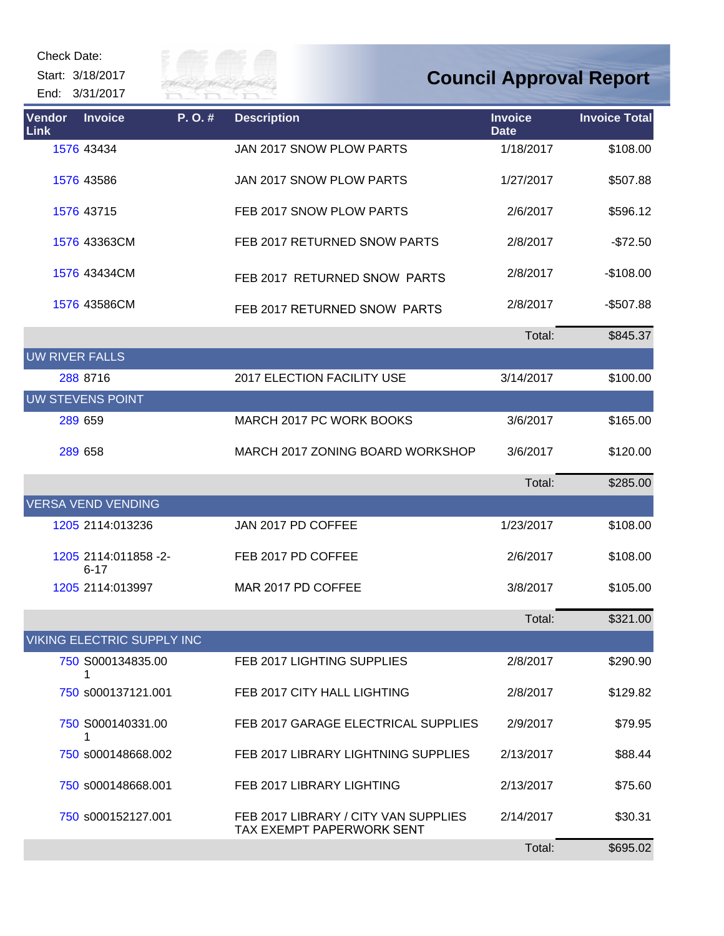Check Date:

Start: 3/18/2017 End: 3/31/2017



| <b>Vendor</b><br>Link | <b>Invoice</b>                   | P.O.# | <b>Description</b>                                                | <b>Invoice</b><br><b>Date</b> | <b>Invoice Total</b> |
|-----------------------|----------------------------------|-------|-------------------------------------------------------------------|-------------------------------|----------------------|
|                       | 1576 43434                       |       | JAN 2017 SNOW PLOW PARTS                                          | 1/18/2017                     | \$108.00             |
|                       | 1576 43586                       |       | JAN 2017 SNOW PLOW PARTS                                          | 1/27/2017                     | \$507.88             |
|                       | 1576 43715                       |       | FEB 2017 SNOW PLOW PARTS                                          | 2/6/2017                      | \$596.12             |
|                       | 1576 43363CM                     |       | FEB 2017 RETURNED SNOW PARTS                                      | 2/8/2017                      | $-$72.50$            |
|                       | 1576 43434CM                     |       | FEB 2017 RETURNED SNOW PARTS                                      | 2/8/2017                      | $-$108.00$           |
|                       | 1576 43586CM                     |       | FEB 2017 RETURNED SNOW PARTS                                      | 2/8/2017                      | $-$507.88$           |
|                       |                                  |       |                                                                   | Total:                        | \$845.37             |
| <b>UW RIVER FALLS</b> |                                  |       |                                                                   |                               |                      |
|                       | 288 8716                         |       | 2017 ELECTION FACILITY USE                                        | 3/14/2017                     | \$100.00             |
|                       | UW STEVENS POINT                 |       |                                                                   |                               |                      |
|                       | 289 659                          |       | MARCH 2017 PC WORK BOOKS                                          | 3/6/2017                      | \$165.00             |
|                       | 289 658                          |       | MARCH 2017 ZONING BOARD WORKSHOP                                  | 3/6/2017                      | \$120.00             |
|                       |                                  |       |                                                                   | Total:                        | \$285.00             |
|                       | <b>VERSA VEND VENDING</b>        |       |                                                                   |                               |                      |
|                       | 1205 2114:013236                 |       | JAN 2017 PD COFFEE                                                | 1/23/2017                     | \$108.00             |
|                       | 1205 2114:011858 -2-<br>$6 - 17$ |       | FEB 2017 PD COFFEE                                                | 2/6/2017                      | \$108.00             |
|                       | 1205 2114:013997                 |       | MAR 2017 PD COFFEE                                                | 3/8/2017                      | \$105.00             |
|                       |                                  |       |                                                                   | Total:                        | \$321.00             |
|                       | VIKING ELECTRIC SUPPLY INC       |       |                                                                   |                               |                      |
|                       | 750 S000134835.00                |       | FEB 2017 LIGHTING SUPPLIES                                        | 2/8/2017                      | \$290.90             |
|                       | 750 s000137121.001               |       | FEB 2017 CITY HALL LIGHTING                                       | 2/8/2017                      | \$129.82             |
|                       | 750 S000140331.00<br>1           |       | FEB 2017 GARAGE ELECTRICAL SUPPLIES                               | 2/9/2017                      | \$79.95              |
|                       | 750 s000148668.002               |       | FEB 2017 LIBRARY LIGHTNING SUPPLIES                               | 2/13/2017                     | \$88.44              |
|                       | 750 s000148668.001               |       | FEB 2017 LIBRARY LIGHTING                                         | 2/13/2017                     | \$75.60              |
|                       | 750 s000152127.001               |       | FEB 2017 LIBRARY / CITY VAN SUPPLIES<br>TAX EXEMPT PAPERWORK SENT | 2/14/2017                     | \$30.31              |
|                       |                                  |       |                                                                   | Total:                        | \$695.02             |